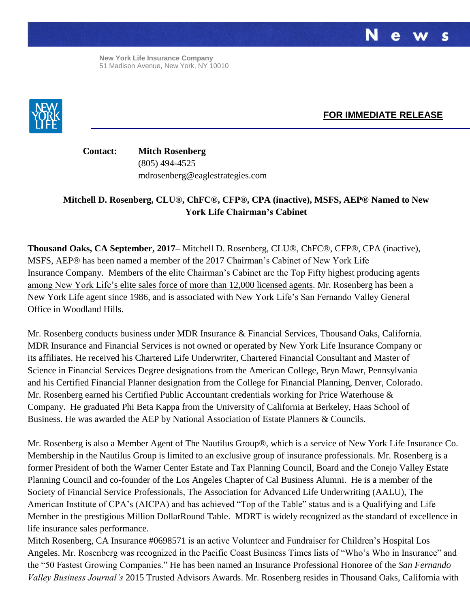**New York Life Insurance Company** 51 Madison Avenue, New York, NY 10010



**FOR IMMEDIATE RELEASE**

**Contact: Mitch Rosenberg** (805) 494-4525 mdrosenberg@eaglestrategies.com

## **Mitchell D. Rosenberg, CLU®, ChFC®, CFP®, CPA (inactive), MSFS, AEP® Named to New York Life Chairman's Cabinet**

**Thousand Oaks, CA September, 2017–** Mitchell D. Rosenberg, CLU®, ChFC®, CFP®, CPA (inactive), MSFS, AEP® has been named a member of the 2017 Chairman's Cabinet of New York Life Insurance Company. Members of the elite Chairman's Cabinet are the Top Fifty highest producing agents among New York Life's elite sales force of more than 12,000 licensed agents. Mr. Rosenberg has been a New York Life agent since 1986, and is associated with New York Life's San Fernando Valley General Office in Woodland Hills.

Mr. Rosenberg conducts business under MDR Insurance & Financial Services, Thousand Oaks, California. MDR Insurance and Financial Services is not owned or operated by New York Life Insurance Company or its affiliates. He received his Chartered Life Underwriter, Chartered Financial Consultant and Master of Science in Financial Services Degree designations from the American College, Bryn Mawr, Pennsylvania and his Certified Financial Planner designation from the College for Financial Planning, Denver, Colorado. Mr. Rosenberg earned his Certified Public Accountant credentials working for Price Waterhouse & Company. He graduated Phi Beta Kappa from the University of California at Berkeley, Haas School of Business. He was awarded the AEP by National Association of Estate Planners & Councils.

Mr. Rosenberg is also a Member Agent of The Nautilus Group®, which is a service of New York Life Insurance Co. Membership in the Nautilus Group is limited to an exclusive group of insurance professionals. Mr. Rosenberg is a former President of both the Warner Center Estate and Tax Planning Council, Board and the Conejo Valley Estate Planning Council and co-founder of the Los Angeles Chapter of Cal Business Alumni. He is a member of the Society of Financial Service Professionals, The Association for Advanced Life Underwriting (AALU), The American Institute of CPA's (AICPA) and has achieved "Top of the Table" status and is a Qualifying and Life Member in the prestigious Million DollarRound Table. MDRT is widely recognized as the standard of excellence in life insurance sales performance.

Mitch Rosenberg, CA Insurance #0698571 is an active Volunteer and Fundraiser for Children's Hospital Los Angeles. Mr. Rosenberg was recognized in the Pacific Coast Business Times lists of "Who's Who in Insurance" and the "50 Fastest Growing Companies." He has been named an Insurance Professional Honoree of the *San Fernando Valley Business Journal's* 2015 Trusted Advisors Awards. Mr. Rosenberg resides in Thousand Oaks, California with